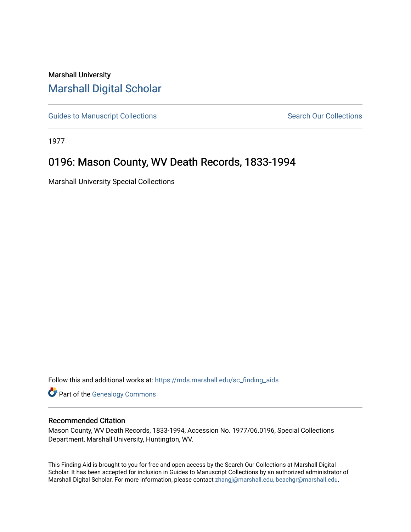# Marshall University [Marshall Digital Scholar](https://mds.marshall.edu/)

[Guides to Manuscript Collections](https://mds.marshall.edu/sc_finding_aids) **Search Our Collections** Search Our Collections

1977

# 0196: Mason County, WV Death Records, 1833-1994

Marshall University Special Collections

Follow this and additional works at: [https://mds.marshall.edu/sc\\_finding\\_aids](https://mds.marshall.edu/sc_finding_aids?utm_source=mds.marshall.edu%2Fsc_finding_aids%2F454&utm_medium=PDF&utm_campaign=PDFCoverPages) 

**Part of the Genealogy Commons** 

#### Recommended Citation

Mason County, WV Death Records, 1833-1994, Accession No. 1977/06.0196, Special Collections Department, Marshall University, Huntington, WV.

This Finding Aid is brought to you for free and open access by the Search Our Collections at Marshall Digital Scholar. It has been accepted for inclusion in Guides to Manuscript Collections by an authorized administrator of Marshall Digital Scholar. For more information, please contact [zhangj@marshall.edu, beachgr@marshall.edu](mailto:zhangj@marshall.edu,%20beachgr@marshall.edu).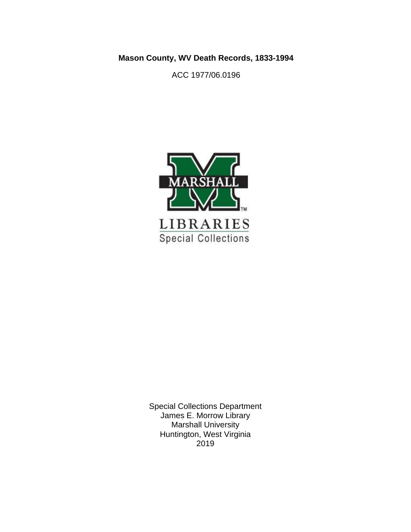**Mason County, WV Death Records, 1833-1994**

ACC 1977/06.0196



Special Collections Department James E. Morrow Library Marshall University Huntington, West Virginia 2019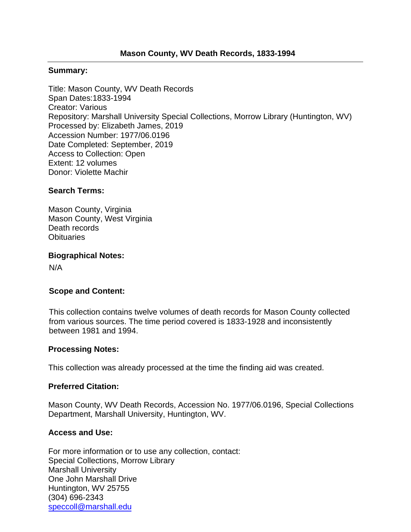### **Summary:**

Title: Mason County, WV Death Records Span Dates:1833-1994 Creator: Various Repository: Marshall University Special Collections, Morrow Library (Huntington, WV) Processed by: Elizabeth James, 2019 Accession Number: 1977/06.0196 Date Completed: September, 2019 Access to Collection: Open Extent: 12 volumes Donor: Violette Machir

## **Search Terms:**

Mason County, Virginia Mason County, West Virginia Death records **Obituaries** 

**Biographical Notes:**

N/A

# **Scope and Content:**

This collection contains twelve volumes of death records for Mason County collected from various sources. The time period covered is 1833-1928 and inconsistently between 1981 and 1994.

#### **Processing Notes:**

This collection was already processed at the time the finding aid was created.

#### **Preferred Citation:**

Mason County, WV Death Records, Accession No. 1977/06.0196, Special Collections Department, Marshall University, Huntington, WV.

# **Access and Use:**

For more information or to use any collection, contact: Special Collections, Morrow Library Marshall University One John Marshall Drive Huntington, WV 25755 (304) 696-2343 [speccoll@marshall.edu](mailto:speccoll@marshall.edu)